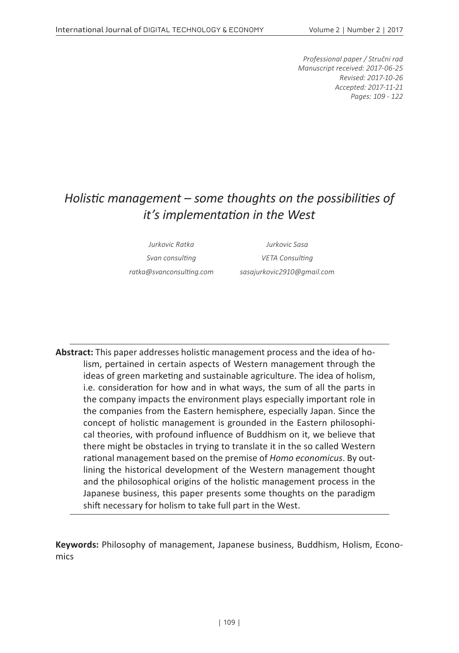*Professional paper / Stručni rad Manuscript received: 2017-06-25 Revised: 2017-10-26 Accepted: 2017-11-21 Pages: 109 - 122*

# *Holistic management – some thoughts on the possibilities of it's implementation in the West*

*Jurkovic Ratka Jurkovic Sasa Svan consulting VETA Consulting ratka@svanconsulting.com sasajurkovic2910@gmail.com*

**Abstract:** This paper addresses holistic management process and the idea of holism, pertained in certain aspects of Western management through the ideas of green marketing and sustainable agriculture. The idea of holism, i.e. consideration for how and in what ways, the sum of all the parts in the company impacts the environment plays especially important role in the companies from the Eastern hemisphere, especially Japan. Since the concept of holistic management is grounded in the Eastern philosophical theories, with profound influence of Buddhism on it, we believe that there might be obstacles in trying to translate it in the so called Western rational management based on the premise of *Homo economicus*. By outlining the historical development of the Western management thought and the philosophical origins of the holistic management process in the Japanese business, this paper presents some thoughts on the paradigm shift necessary for holism to take full part in the West.

**Keywords:** Philosophy of management, Japanese business, Buddhism, Holism, Economics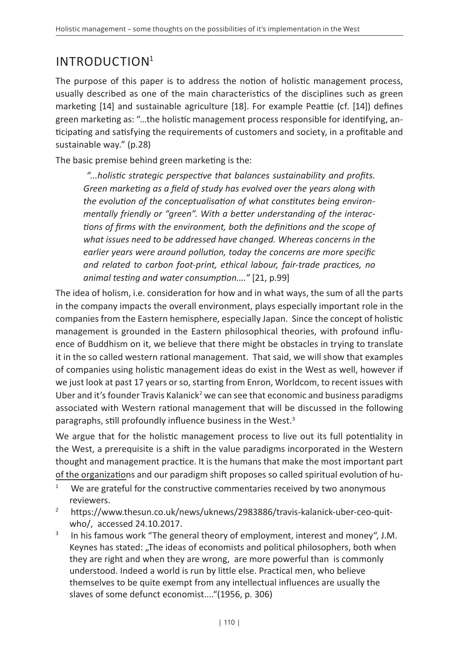# INTRODUCTION1

The purpose of this paper is to address the notion of holistic management process, usually described as one of the main characteristics of the disciplines such as green marketing [14] and sustainable agriculture [18]. For example Peattie (cf. [14]) defines green marketing as: "…the holistic management process responsible for identifying, anticipating and satisfying the requirements of customers and society, in a profitable and sustainable way." (p.28)

The basic premise behind green marketing is the:

*"...holistic strategic perspective that balances sustainability and profits. Green marketing as a field of study has evolved over the years along with the evolution of the conceptualisation of what constitutes being environmentally friendly or "green". With a better understanding of the interactions of firms with the environment, both the definitions and the scope of what issues need to be addressed have changed. Whereas concerns in the earlier years were around pollution, today the concerns are more specific and related to carbon foot-print, ethical labour, fair-trade practices, no animal testing and water consumption...."* [21, p.99]

The idea of holism, i.e. consideration for how and in what ways, the sum of all the parts in the company impacts the overall environment, plays especially important role in the companies from the Eastern hemisphere, especially Japan. Since the concept of holistic management is grounded in the Eastern philosophical theories, with profound influence of Buddhism on it, we believe that there might be obstacles in trying to translate it in the so called western rational management. That said, we will show that examples of companies using holistic management ideas do exist in the West as well, however if we just look at past 17 years or so, starting from Enron, Worldcom, to recent issues with Uber and it's founder Travis Kalanick<sup>2</sup> we can see that economic and business paradigms associated with Western rational management that will be discussed in the following paragraphs, still profoundly influence business in the West.<sup>3</sup>

We argue that for the holistic management process to live out its full potentiality in the West, a prerequisite is a shift in the value paradigms incorporated in the Western thought and management practice. It is the humans that make the most important part of the organizations and our paradigm shift proposes so called spiritual evolution of hu-

- <sup>1</sup> We are grateful for the constructive commentaries received by two anonymous
- reviewers. 2 https://www.thesun.co.uk/news/uknews/2983886/travis-kalanick-uber-ceo-quitwho/, accessed 24.10.2017.
- $3$  In his famous work "The general theory of employment, interest and money", J.M. Keynes has stated: "The ideas of economists and political philosophers, both when they are right and when they are wrong, are more powerful than is commonly understood. Indeed a world is run by little else. Practical men, who believe themselves to be quite exempt from any intellectual influences are usually the slaves of some defunct economist...."(1956, p. 306)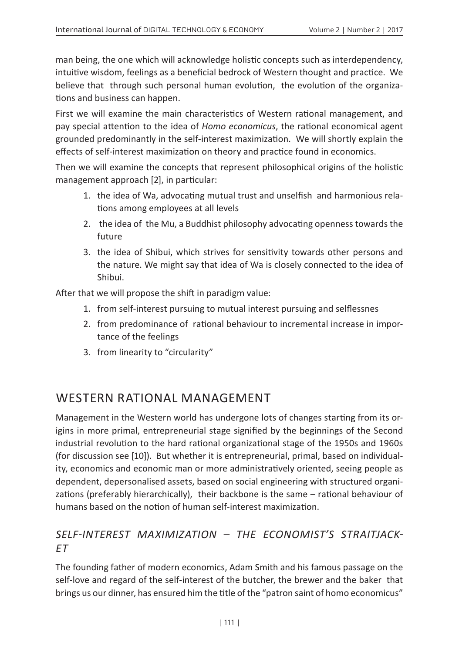man being, the one which will acknowledge holistic concepts such as interdependency, intuitive wisdom, feelings as a beneficial bedrock of Western thought and practice. We believe that through such personal human evolution, the evolution of the organizations and business can happen.

First we will examine the main characteristics of Western rational management, and pay special attention to the idea of *Homo economicus*, the rational economical agent grounded predominantly in the self-interest maximization. We will shortly explain the effects of self-interest maximization on theory and practice found in economics.

Then we will examine the concepts that represent philosophical origins of the holistic management approach [2], in particular:

- 1. the idea of Wa, advocating mutual trust and unselfish and harmonious relations among employees at all levels
- 2. the idea of the Mu, a Buddhist philosophy advocating openness towards the future
- 3. the idea of Shibui, which strives for sensitivity towards other persons and the nature. We might say that idea of Wa is closely connected to the idea of Shibui.

After that we will propose the shift in paradigm value:

- 1. from self-interest pursuing to mutual interest pursuing and selflessnes
- 2. from predominance of rational behaviour to incremental increase in importance of the feelings
- 3. from linearity to "circularity"

## WESTERN RATIONAL MANAGEMENT

Management in the Western world has undergone lots of changes starting from its origins in more primal, entrepreneurial stage signified by the beginnings of the Second industrial revolution to the hard rational organizational stage of the 1950s and 1960s (for discussion see [10]). But whether it is entrepreneurial, primal, based on individuality, economics and economic man or more administratively oriented, seeing people as dependent, depersonalised assets, based on social engineering with structured organizations (preferably hierarchically), their backbone is the same – rational behaviour of humans based on the notion of human self-interest maximization.

## *SELF-INTEREST MAXIMIZATION – THE ECONOMIST'S STRAITJACK-ET*

The founding father of modern economics, Adam Smith and his famous passage on the self-love and regard of the self-interest of the butcher, the brewer and the baker that brings us our dinner, has ensured him the title of the "patron saint of homo economicus"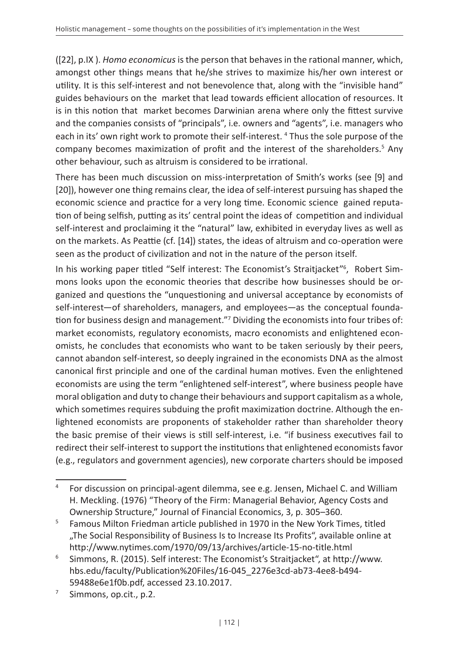([22], p.IX ). *Homo economicus* is the person that behaves in the rational manner, which, amongst other things means that he/she strives to maximize his/her own interest or utility. It is this self-interest and not benevolence that, along with the "invisible hand" guides behaviours on the market that lead towards efficient allocation of resources. It is in this notion that market becomes Darwinian arena where only the fittest survive and the companies consists of "principals", i.e. owners and "agents", i.e. managers who each in its' own right work to promote their self-interest. 4 Thus the sole purpose of the company becomes maximization of profit and the interest of the shareholders.<sup>5</sup> Any other behaviour, such as altruism is considered to be irrational.

There has been much discussion on miss-interpretation of Smith's works (see [9] and [20]), however one thing remains clear, the idea of self-interest pursuing has shaped the economic science and practice for a very long time. Economic science gained reputation of being selfish, putting as its' central point the ideas of competition and individual self-interest and proclaiming it the "natural" law, exhibited in everyday lives as well as on the markets. As Peattie (cf. [14]) states, the ideas of altruism and co-operation were seen as the product of civilization and not in the nature of the person itself.

In his working paper titled "Self interest: The Economist's Straitjacket"6 , Robert Simmons looks upon the economic theories that describe how businesses should be organized and questions the "unquestioning and universal acceptance by economists of self-interest—of shareholders, managers, and employees—as the conceptual foundation for business design and management."7 Dividing the economists into four tribes of: market economists, regulatory economists, macro economists and enlightened economists, he concludes that economists who want to be taken seriously by their peers, cannot abandon self-interest, so deeply ingrained in the economists DNA as the almost canonical first principle and one of the cardinal human motives. Even the enlightened economists are using the term "enlightened self-interest", where business people have moral obligation and duty to change their behaviours and support capitalism as a whole, which sometimes requires subduing the profit maximization doctrine. Although the enlightened economists are proponents of stakeholder rather than shareholder theory the basic premise of their views is still self-interest, i.e. "if business executives fail to redirect their self-interest to support the institutions that enlightened economists favor (e.g., regulators and government agencies), new corporate charters should be imposed

<sup>7</sup> Simmons, op.cit., p.2.

<sup>4</sup> For discussion on principal-agent dilemma, see e.g. Jensen, Michael C. and William H. Meckling. (1976) "Theory of the Firm: Managerial Behavior, Agency Costs and Ownership Structure," Journal of Financial Economics, 3, p. 305–360.

<sup>&</sup>lt;sup>5</sup> Famous Milton Friedman article published in 1970 in the New York Times, titled "The Social Responsibility of Business Is to Increase Its Profits", available online at http://www.nytimes.com/1970/09/13/archives/article-15-no-title.html 6 Simmons, R. (2015). Self interest: The Economist's Straitjacket", at http://www.

hbs.edu/faculty/Publication%20Files/16-045\_2276e3cd-ab73-4ee8-b494- 59488e6e1f0b.pdf, accessed 23.10.2017.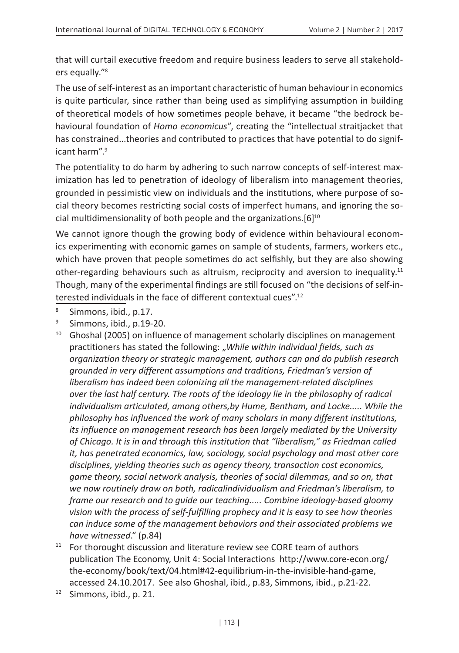that will curtail executive freedom and require business leaders to serve all stakeholders equally."8

The use of self-interest as an important characteristic of human behaviour in economics is quite particular, since rather than being used as simplifying assumption in building of theoretical models of how sometimes people behave, it became "the bedrock behavioural foundation of *Homo economicus*", creating the "intellectual straitjacket that has constrained...theories and contributed to practices that have potential to do significant harm".9

The potentiality to do harm by adhering to such narrow concepts of self-interest maximization has led to penetration of ideology of liberalism into management theories, grounded in pessimistic view on individuals and the institutions, where purpose of social theory becomes restricting social costs of imperfect humans, and ignoring the social multidimensionality of both people and the organizations.  $[6]^{10}$ 

We cannot ignore though the growing body of evidence within behavioural economics experimenting with economic games on sample of students, farmers, workers etc., which have proven that people sometimes do act selfishly, but they are also showing other-regarding behaviours such as altruism, reciprocity and aversion to inequality.<sup>11</sup> Though, many of the experimental findings are still focused on "the decisions of self-interested individuals in the face of different contextual cues".12

- <sup>8</sup> Simmons, ibid., p.17.
- <sup>9</sup> Simmons, ibid., p.19-20.
- $10$  Ghoshal (2005) on influence of management scholarly disciplines on management practitioners has stated the following: "While within individual fields, such as *organization theory or strategic management, authors can and do publish research grounded in very different assumptions and traditions, Friedman's version of liberalism has indeed been colonizing all the management-related disciplines over the last half century. The roots of the ideology lie in the philosophy of radical individualism articulated, among others,by Hume, Bentham, and Locke..... While the philosophy has influenced the work of many scholars in many different institutions, its influence on management research has been largely mediated by the University of Chicago. It is in and through this institution that "liberalism," as Friedman called it, has penetrated economics, law, sociology, social psychology and most other core disciplines, yielding theories such as agency theory, transaction cost economics, game theory, social network analysis, theories of social dilemmas, and so on, that we now routinely draw on both, radicalindividualism and Friedman's liberalism, to frame our research and to guide our teaching..... Combine ideology-based gloomy vision with the process of self-fulfilling prophecy and it is easy to see how theories can induce some of the management behaviors and their associated problems we have witnessed*." (p.84)
- $11$  For thorought discussion and literature review see CORE team of authors publication The Economy, Unit 4: Social Interactions http://www.core-econ.org/ the-economy/book/text/04.html#42-equilibrium-in-the-invisible-hand-game, accessed 24.10.2017. See also Ghoshal, ibid., p.83, Simmons, ibid., p.21-22.
- <sup>12</sup> Simmons, ibid., p. 21.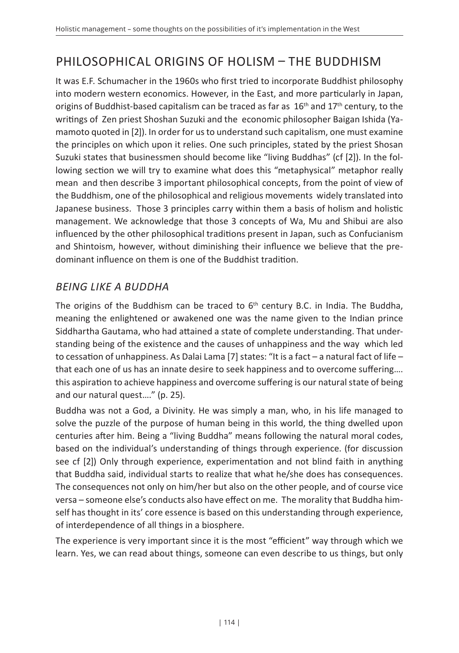# PHILOSOPHICAL ORIGINS OF HOLISM – THE BUDDHISM

It was E.F. Schumacher in the 1960s who first tried to incorporate Buddhist philosophy into modern western economics. However, in the East, and more particularly in Japan, origins of Buddhist-based capitalism can be traced as far as  $16<sup>th</sup>$  and  $17<sup>th</sup>$  century, to the writings of Zen priest Shoshan Suzuki and the economic philosopher Baigan Ishida (Yamamoto quoted in [2]). In order for us to understand such capitalism, one must examine the principles on which upon it relies. One such principles, stated by the priest Shosan Suzuki states that businessmen should become like "living Buddhas" (cf [2]). In the following section we will try to examine what does this "metaphysical" metaphor really mean and then describe 3 important philosophical concepts, from the point of view of the Buddhism, one of the philosophical and religious movements widely translated into Japanese business. Those 3 principles carry within them a basis of holism and holistic management. We acknowledge that those 3 concepts of Wa, Mu and Shibui are also influenced by the other philosophical traditions present in Japan, such as Confucianism and Shintoism, however, without diminishing their influence we believe that the predominant influence on them is one of the Buddhist tradition.

### *BEING LIKE A BUDDHA*

The origins of the Buddhism can be traced to  $6<sup>th</sup>$  century B.C. in India. The Buddha, meaning the enlightened or awakened one was the name given to the Indian prince Siddhartha Gautama, who had attained a state of complete understanding. That understanding being of the existence and the causes of unhappiness and the way which led to cessation of unhappiness. As Dalai Lama [7] states: "It is a fact – a natural fact of life – that each one of us has an innate desire to seek happiness and to overcome suffering…. this aspiration to achieve happiness and overcome suffering is our natural state of being and our natural quest…." (p. 25).

Buddha was not a God, a Divinity. He was simply a man, who, in his life managed to solve the puzzle of the purpose of human being in this world, the thing dwelled upon centuries after him. Being a "living Buddha" means following the natural moral codes, based on the individual's understanding of things through experience. (for discussion see cf [2]) Only through experience, experimentation and not blind faith in anything that Buddha said, individual starts to realize that what he/she does has consequences. The consequences not only on him/her but also on the other people, and of course vice versa – someone else's conducts also have effect on me. The morality that Buddha himself has thought in its' core essence is based on this understanding through experience, of interdependence of all things in a biosphere.

The experience is very important since it is the most "efficient" way through which we learn. Yes, we can read about things, someone can even describe to us things, but only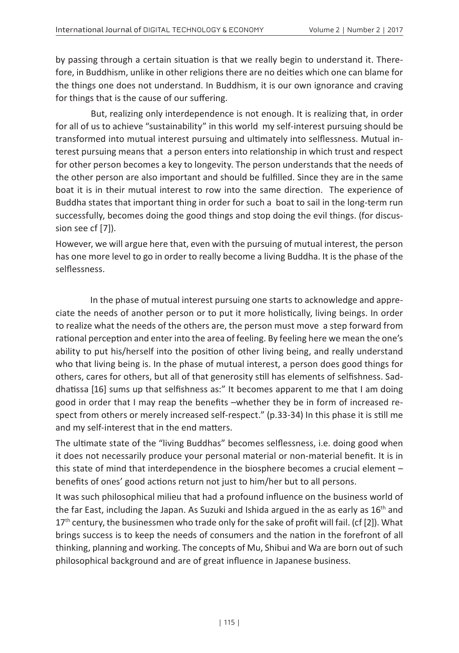by passing through a certain situation is that we really begin to understand it. Therefore, in Buddhism, unlike in other religions there are no deities which one can blame for the things one does not understand. In Buddhism, it is our own ignorance and craving for things that is the cause of our suffering.

But, realizing only interdependence is not enough. It is realizing that, in order for all of us to achieve "sustainability" in this world my self-interest pursuing should be transformed into mutual interest pursuing and ultimately into selflessness. Mutual interest pursuing means that a person enters into relationship in which trust and respect for other person becomes a key to longevity. The person understands that the needs of the other person are also important and should be fulfilled. Since they are in the same boat it is in their mutual interest to row into the same direction. The experience of Buddha states that important thing in order for such a boat to sail in the long-term run successfully, becomes doing the good things and stop doing the evil things. (for discussion see cf [7]).

However, we will argue here that, even with the pursuing of mutual interest, the person has one more level to go in order to really become a living Buddha. It is the phase of the selflessness.

In the phase of mutual interest pursuing one starts to acknowledge and appreciate the needs of another person or to put it more holistically, living beings. In order to realize what the needs of the others are, the person must move a step forward from rational perception and enter into the area of feeling. By feeling here we mean the one's ability to put his/herself into the position of other living being, and really understand who that living being is. In the phase of mutual interest, a person does good things for others, cares for others, but all of that generosity still has elements of selfishness. Saddhatissa [16] sums up that selfishness as:" It becomes apparent to me that I am doing good in order that I may reap the benefits –whether they be in form of increased respect from others or merely increased self-respect." (p.33-34) In this phase it is still me and my self-interest that in the end matters.

The ultimate state of the "living Buddhas" becomes selflessness, i.e. doing good when it does not necessarily produce your personal material or non-material benefit. It is in this state of mind that interdependence in the biosphere becomes a crucial element – benefits of ones' good actions return not just to him/her but to all persons.

It was such philosophical milieu that had a profound influence on the business world of the far East, including the Japan. As Suzuki and Ishida argued in the as early as  $16<sup>th</sup>$  and  $17<sup>th</sup>$  century, the businessmen who trade only for the sake of profit will fail. (cf [2]). What brings success is to keep the needs of consumers and the nation in the forefront of all thinking, planning and working. The concepts of Mu, Shibui and Wa are born out of such philosophical background and are of great influence in Japanese business.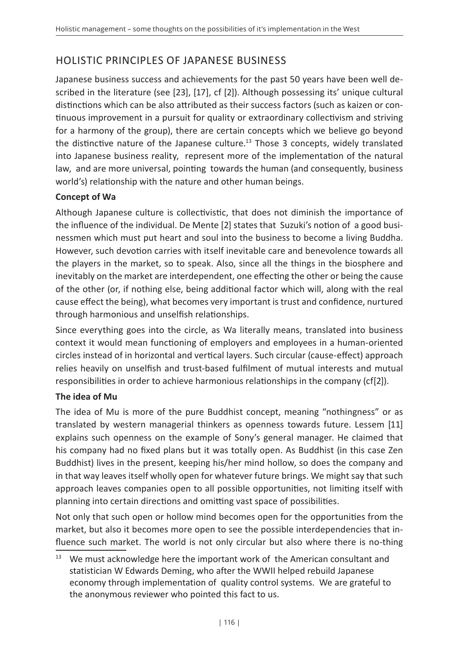## HOLISTIC PRINCIPLES OF JAPANESE BUSINESS

Japanese business success and achievements for the past 50 years have been well described in the literature (see [23], [17], cf [2]). Although possessing its' unique cultural distinctions which can be also attributed as their success factors (such as kaizen or continuous improvement in a pursuit for quality or extraordinary collectivism and striving for a harmony of the group), there are certain concepts which we believe go beyond the distinctive nature of the Japanese culture.<sup>13</sup> Those 3 concepts, widely translated into Japanese business reality, represent more of the implementation of the natural law, and are more universal, pointing towards the human (and consequently, business world's) relationship with the nature and other human beings.

#### **Concept of Wa**

Although Japanese culture is collectivistic, that does not diminish the importance of the influence of the individual. De Mente [2] states that Suzuki's notion of a good businessmen which must put heart and soul into the business to become a living Buddha. However, such devotion carries with itself inevitable care and benevolence towards all the players in the market, so to speak. Also, since all the things in the biosphere and inevitably on the market are interdependent, one effecting the other or being the cause of the other (or, if nothing else, being additional factor which will, along with the real cause effect the being), what becomes very important is trust and confidence, nurtured through harmonious and unselfish relationships.

Since everything goes into the circle, as Wa literally means, translated into business context it would mean functioning of employers and employees in a human-oriented circles instead of in horizontal and vertical layers. Such circular (cause-effect) approach relies heavily on unselfish and trust-based fulfilment of mutual interests and mutual responsibilities in order to achieve harmonious relationships in the company (cf[2]).

#### **The idea of Mu**

The idea of Mu is more of the pure Buddhist concept, meaning "nothingness" or as translated by western managerial thinkers as openness towards future. Lessem [11] explains such openness on the example of Sony's general manager. He claimed that his company had no fixed plans but it was totally open. As Buddhist (in this case Zen Buddhist) lives in the present, keeping his/her mind hollow, so does the company and in that way leaves itself wholly open for whatever future brings. We might say that such approach leaves companies open to all possible opportunities, not limiting itself with planning into certain directions and omitting vast space of possibilities.

Not only that such open or hollow mind becomes open for the opportunities from the market, but also it becomes more open to see the possible interdependencies that influence such market. The world is not only circular but also where there is no-thing

<sup>&</sup>lt;sup>13</sup> We must acknowledge here the important work of the American consultant and statistician W Edwards Deming, who after the WWII helped rebuild Japanese economy through implementation of quality control systems. We are grateful to the anonymous reviewer who pointed this fact to us.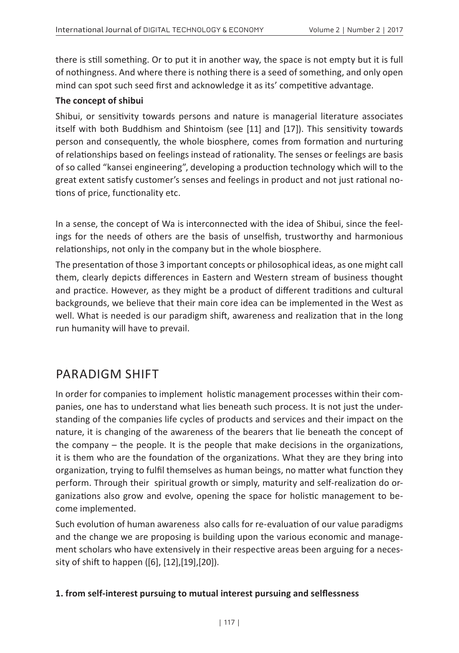there is still something. Or to put it in another way, the space is not empty but it is full of nothingness. And where there is nothing there is a seed of something, and only open mind can spot such seed first and acknowledge it as its' competitive advantage.

#### **The concept of shibui**

Shibui, or sensitivity towards persons and nature is managerial literature associates itself with both Buddhism and Shintoism (see [11] and [17]). This sensitivity towards person and consequently, the whole biosphere, comes from formation and nurturing of relationships based on feelings instead of rationality. The senses or feelings are basis of so called "kansei engineering", developing a production technology which will to the great extent satisfy customer's senses and feelings in product and not just rational notions of price, functionality etc.

In a sense, the concept of Wa is interconnected with the idea of Shibui, since the feelings for the needs of others are the basis of unselfish, trustworthy and harmonious relationships, not only in the company but in the whole biosphere.

The presentation of those 3 important concepts or philosophical ideas, as one might call them, clearly depicts differences in Eastern and Western stream of business thought and practice. However, as they might be a product of different traditions and cultural backgrounds, we believe that their main core idea can be implemented in the West as well. What is needed is our paradigm shift, awareness and realization that in the long run humanity will have to prevail.

## PARADIGM SHIFT

In order for companies to implement holistic management processes within their companies, one has to understand what lies beneath such process. It is not just the understanding of the companies life cycles of products and services and their impact on the nature, it is changing of the awareness of the bearers that lie beneath the concept of the company – the people. It is the people that make decisions in the organizations, it is them who are the foundation of the organizations. What they are they bring into organization, trying to fulfil themselves as human beings, no matter what function they perform. Through their spiritual growth or simply, maturity and self-realization do organizations also grow and evolve, opening the space for holistic management to become implemented.

Such evolution of human awareness also calls for re-evaluation of our value paradigms and the change we are proposing is building upon the various economic and management scholars who have extensively in their respective areas been arguing for a necessity of shift to happen ([6], [12],[19],[20]).

#### **1. from self-interest pursuing to mutual interest pursuing and selflessness**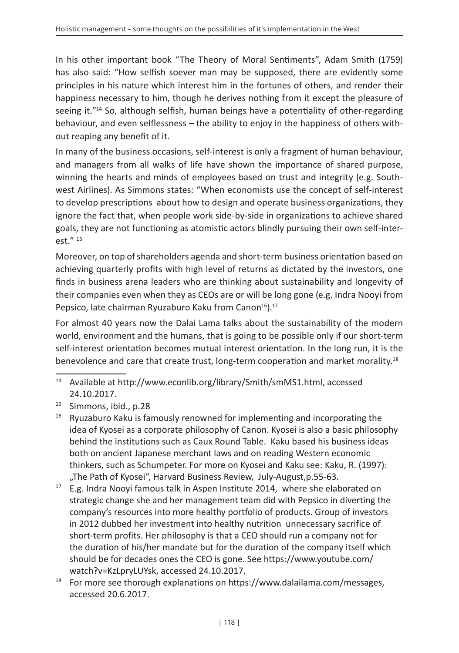In his other important book "The Theory of Moral Sentiments", Adam Smith (1759) has also said: "How selfish soever man may be supposed, there are evidently some principles in his nature which interest him in the fortunes of others, and render their happiness necessary to him, though he derives nothing from it except the pleasure of seeing it."<sup>14</sup> So, although selfish, human beings have a potentiality of other-regarding behaviour, and even selflessness – the ability to enjoy in the happiness of others without reaping any benefit of it.

In many of the business occasions, self-interest is only a fragment of human behaviour, and managers from all walks of life have shown the importance of shared purpose, winning the hearts and minds of employees based on trust and integrity (e.g. Southwest Airlines). As Simmons states: "When economists use the concept of self-interest to develop prescriptions about how to design and operate business organizations, they ignore the fact that, when people work side-by-side in organizations to achieve shared goals, they are not functioning as atomistic actors blindly pursuing their own self-inter- $\rho$ st." 15

Moreover, on top of shareholders agenda and short-term business orientation based on achieving quarterly profits with high level of returns as dictated by the investors, one finds in business arena leaders who are thinking about sustainability and longevity of their companies even when they as CEOs are or will be long gone (e.g. Indra Nooyi from Pepsico, late chairman Ryuzaburo Kaku from Canon<sup>16</sup>).<sup>17</sup>

For almost 40 years now the Dalai Lama talks about the sustainability of the modern world, environment and the humans, that is going to be possible only if our short-term self-interest orientation becomes mutual interest orientation. In the long run, it is the benevolence and care that create trust, long-term cooperation and market morality.<sup>18</sup>

- <sup>16</sup> Ryuzaburo Kaku is famously renowned for implementing and incorporating the idea of Kyosei as a corporate philosophy of Canon. Kyosei is also a basic philosophy behind the institutions such as Caux Round Table. Kaku based his business ideas both on ancient Japanese merchant laws and on reading Western economic thinkers, such as Schumpeter. For more on Kyosei and Kaku see: Kaku, R. (1997): "The Path of Kyosei", Harvard Business Review, July-August,p.55-63.
- $17$  E.g. Indra Nooyi famous talk in Aspen Institute 2014, where she elaborated on strategic change she and her management team did with Pepsico in diverting the company's resources into more healthy portfolio of products. Group of investors in 2012 dubbed her investment into healthy nutrition unnecessary sacrifice of short-term profits. Her philosophy is that a CEO should run a company not for the duration of his/her mandate but for the duration of the company itself which should be for decades ones the CEO is gone. See https://www.youtube.com/ watch?v=KzLpryLUYsk, accessed 24.10.2017.
- <sup>18</sup> For more see thorough explanations on https://www.dalailama.com/messages, accessed 20.6.2017.

<sup>14</sup> Available at http://www.econlib.org/library/Smith/smMS1.html, accessed 24.10.2017.

<sup>15</sup> Simmons, ibid., p.28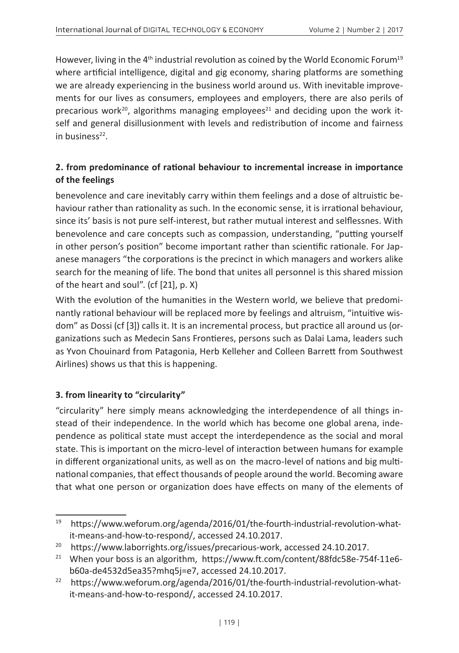However, living in the  $4<sup>th</sup>$  industrial revolution as coined by the World Economic Forum<sup>19</sup> where artificial intelligence, digital and gig economy, sharing platforms are something we are already experiencing in the business world around us. With inevitable improvements for our lives as consumers, employees and employers, there are also perils of precarious work<sup>20</sup>, algorithms managing employees<sup>21</sup> and deciding upon the work itself and general disillusionment with levels and redistribution of income and fairness in business $22$ .

#### **2. from predominance of rational behaviour to incremental increase in importance of the feelings**

benevolence and care inevitably carry within them feelings and a dose of altruistic behaviour rather than rationality as such. In the economic sense, it is irrational behaviour, since its' basis is not pure self-interest, but rather mutual interest and selflessnes. With benevolence and care concepts such as compassion, understanding, "putting yourself in other person's position" become important rather than scientific rationale. For Japanese managers "the corporations is the precinct in which managers and workers alike search for the meaning of life. The bond that unites all personnel is this shared mission of the heart and soul". (cf [21], p. X)

With the evolution of the humanities in the Western world, we believe that predominantly rational behaviour will be replaced more by feelings and altruism, "intuitive wisdom" as Dossi (cf [3]) calls it. It is an incremental process, but practice all around us (organizations such as Medecin Sans Frontieres, persons such as Dalai Lama, leaders such as Yvon Chouinard from Patagonia, Herb Kelleher and Colleen Barrett from Southwest Airlines) shows us that this is happening.

#### **3. from linearity to "circularity"**

"circularity" here simply means acknowledging the interdependence of all things instead of their independence. In the world which has become one global arena, independence as political state must accept the interdependence as the social and moral state. This is important on the micro-level of interaction between humans for example in different organizational units, as well as on the macro-level of nations and big multinational companies, that effect thousands of people around the world. Becoming aware that what one person or organization does have effects on many of the elements of

<sup>19</sup> https://www.weforum.org/agenda/2016/01/the-fourth-industrial-revolution-whatit-means-and-how-to-respond/, accessed 24.10.2017.

<sup>&</sup>lt;sup>20</sup> https://www.laborrights.org/issues/precarious-work, accessed 24.10.2017.

<sup>&</sup>lt;sup>21</sup> When your boss is an algorithm, https://www.ft.com/content/88fdc58e-754f-11e6b60a-de4532d5ea35?mhq5j=e7, accessed 24.10.2017.

<sup>&</sup>lt;sup>22</sup> https://www.weforum.org/agenda/2016/01/the-fourth-industrial-revolution-whatit-means-and-how-to-respond/, accessed 24.10.2017.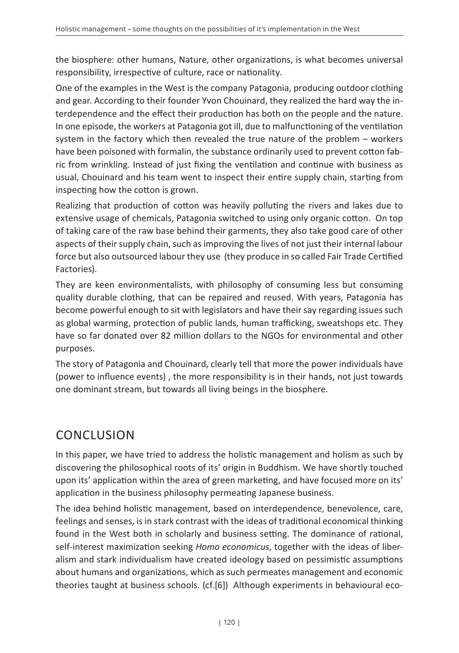the biosphere: other humans, Nature, other organizations, is what becomes universal responsibility, irrespective of culture, race or nationality.

One of the examples in the West is the company Patagonia, producing outdoor clothing and gear. According to their founder Yvon Chouinard, they realized the hard way the interdependence and the effect their production has both on the people and the nature. In one episode, the workers at Patagonia got ill, due to malfunctioning of the ventilation system in the factory which then revealed the true nature of the problem – workers have been poisoned with formalin, the substance ordinarily used to prevent cotton fabric from wrinkling. Instead of just fixing the ventilation and continue with business as usual, Chouinard and his team went to inspect their entire supply chain, starting from inspecting how the cotton is grown.

Realizing that production of cotton was heavily polluting the rivers and lakes due to extensive usage of chemicals, Patagonia switched to using only organic cotton. On top of taking care of the raw base behind their garments, they also take good care of other aspects of their supply chain, such as improving the lives of not just their internal labour force but also outsourced labour they use (they produce in so called Fair Trade Certified Factories).

They are keen environmentalists, with philosophy of consuming less but consuming quality durable clothing, that can be repaired and reused. With years, Patagonia has become powerful enough to sit with legislators and have their say regarding issues such as global warming, protection of public lands, human trafficking, sweatshops etc. They have so far donated over 82 million dollars to the NGOs for environmental and other purposes.

The story of Patagonia and Chouinard, clearly tell that more the power individuals have (power to influence events) , the more responsibility is in their hands, not just towards one dominant stream, but towards all living beings in the biosphere.

# CONCLUSION

In this paper, we have tried to address the holistic management and holism as such by discovering the philosophical roots of its' origin in Buddhism. We have shortly touched upon its' application within the area of green marketing, and have focused more on its' application in the business philosophy permeating Japanese business.

The idea behind holistic management, based on interdependence, benevolence, care, feelings and senses, is in stark contrast with the ideas of traditional economical thinking found in the West both in scholarly and business setting. The dominance of rational, self-interest maximization seeking *Homo economicus*, together with the ideas of liberalism and stark individualism have created ideology based on pessimistic assumptions about humans and organizations, which as such permeates management and economic theories taught at business schools. (cf.[6]) Although experiments in behavioural eco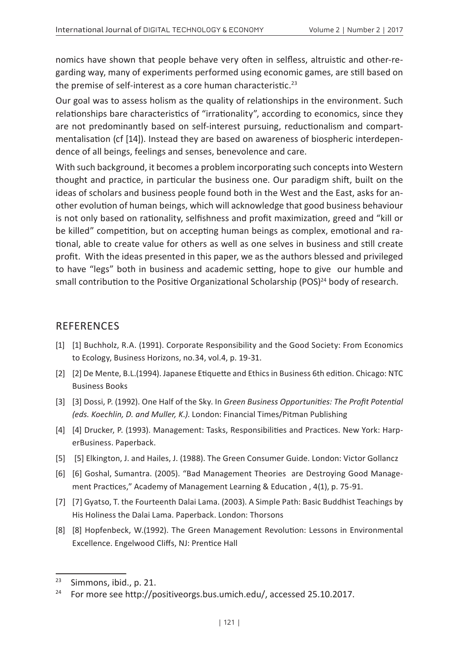nomics have shown that people behave very often in selfless, altruistic and other-regarding way, many of experiments performed using economic games, are still based on the premise of self-interest as a core human characteristic.<sup>23</sup>

Our goal was to assess holism as the quality of relationships in the environment. Such relationships bare characteristics of "irrationality", according to economics, since they are not predominantly based on self-interest pursuing, reductionalism and compartmentalisation (cf [14]). Instead they are based on awareness of biospheric interdependence of all beings, feelings and senses, benevolence and care.

With such background, it becomes a problem incorporating such concepts into Western thought and practice, in particular the business one. Our paradigm shift, built on the ideas of scholars and business people found both in the West and the East, asks for another evolution of human beings, which will acknowledge that good business behaviour is not only based on rationality, selfishness and profit maximization, greed and "kill or be killed" competition, but on accepting human beings as complex, emotional and rational, able to create value for others as well as one selves in business and still create profit. With the ideas presented in this paper, we as the authors blessed and privileged to have "legs" both in business and academic setting, hope to give our humble and small contribution to the Positive Organizational Scholarship (POS)<sup>24</sup> body of research.

#### REFERENCES

- [1] [1] Buchholz, R.A. (1991). Corporate Responsibility and the Good Society: From Economics to Ecology, Business Horizons, no.34, vol.4, p. 19-31.
- [2] [2] De Mente, B.L.(1994). Japanese Etiquette and Ethics in Business 6th edition. Chicago: NTC Business Books
- [3] [3] Dossi, P. (1992). One Half of the Sky. In *Green Business Opportunities: The Profit Potential (eds. Koechlin, D. and Muller, K.)*. London: Financial Times/Pitman Publishing
- [4] [4] Drucker, P. (1993). Management: Tasks, Responsibilities and Practices. New York: HarperBusiness. Paperback.
- [5] [5] Elkington, J. and Hailes, J. (1988). The Green Consumer Guide. London: Victor Gollancz
- [6] [6] Goshal, Sumantra. (2005). "Bad Management Theories are Destroying Good Management Practices," Academy of Management Learning & Education , 4(1), p. 75-91.
- [7] [7] Gyatso, T. the Fourteenth Dalai Lama. (2003). A Simple Path: Basic Buddhist Teachings by His Holiness the Dalai Lama. Paperback. London: Thorsons
- [8] [8] Hopfenbeck, W.(1992). The Green Management Revolution: Lessons in Environmental Excellence. Engelwood Cliffs, NJ: Prentice Hall

<sup>23</sup> Simmons, ibid., p. 21.

<sup>&</sup>lt;sup>24</sup> For more see http://positiveorgs.bus.umich.edu/, accessed 25.10.2017.